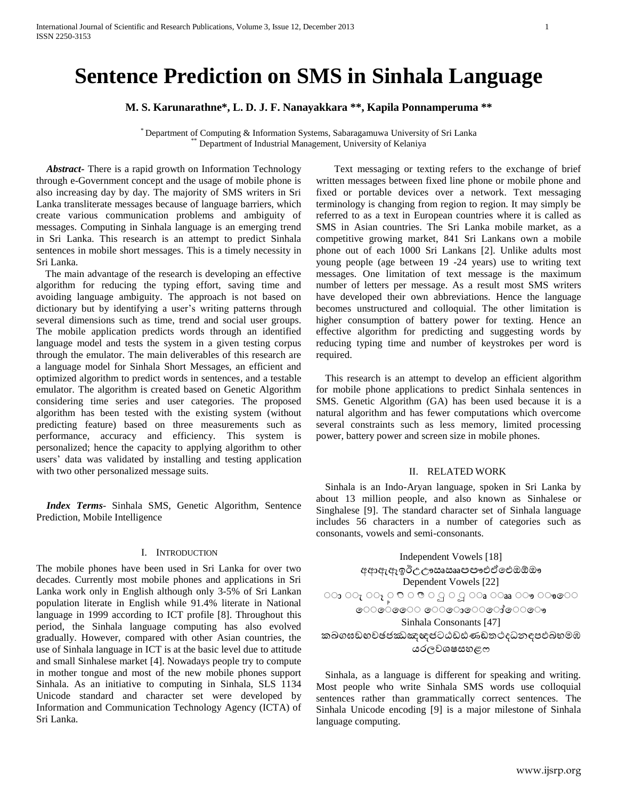# **Sentence Prediction on SMS in Sinhala Language**

**M. S. Karunarathne\*, L. D. J. F. Nanayakkara \*\*, Kapila Ponnamperuma \*\***

\* Department of Computing & Information Systems, Sabaragamuwa University of Sri Lanka Department of Industrial Management, University of Kelaniya

 *Abstract***-** There is a rapid growth on Information Technology through e-Government concept and the usage of mobile phone is also increasing day by day. The majority of SMS writers in Sri Lanka transliterate messages because of language barriers, which create various communication problems and ambiguity of messages. Computing in Sinhala language is an emerging trend in Sri Lanka. This research is an attempt to predict Sinhala sentences in mobile short messages. This is a timely necessity in Sri Lanka.

The main advantage of the research is developing an effective algorithm for reducing the typing effort, saving time and avoiding language ambiguity. The approach is not based on dictionary but by identifying a user's writing patterns through several dimensions such as time, trend and social user groups. The mobile application predicts words through an identified language model and tests the system in a given testing corpus through the emulator. The main deliverables of this research are a language model for Sinhala Short Messages, an efficient and optimized algorithm to predict words in sentences, and a testable emulator. The algorithm is created based on Genetic Algorithm considering time series and user categories. The proposed algorithm has been tested with the existing system (without predicting feature) based on three measurements such as performance, accuracy and efficiency. This system is personalized; hence the capacity to applying algorithm to other users' data was validated by installing and testing application with two other personalized message suits.

 *Index Terms*- Sinhala SMS, Genetic Algorithm, Sentence Prediction, Mobile Intelligence

# I. INTRODUCTION

The mobile phones have been used in Sri Lanka for over two decades. Currently most mobile phones and applications in Sri Lanka work only in English although only 3-5% of Sri Lankan population literate in English while 91.4% literate in National language in 1999 according to ICT profile [8]. Throughout this period, the Sinhala language computing has also evolved gradually. However, compared with other Asian countries, the use of Sinhala language in ICT is at the basic level due to attitude and small Sinhalese market [4]. Nowadays people try to compute in mother tongue and most of the new mobile phones support Sinhala. As an initiative to computing in Sinhala, SLS 1134 Unicode standard and character set were developed by Information and Communication Technology Agency (ICTA) of Sri Lanka.

Text messaging or texting refers to the exchange of brief written messages between fixed line phone or mobile phone and fixed or portable devices over a network. Text messaging terminology is changing from region to region. It may simply be referred to as a text in European countries where it is called as SMS in Asian countries. The Sri Lanka mobile market, as a competitive growing market, 841 Sri Lankans own a mobile phone out of each 1000 Sri Lankans [2]. Unlike adults most young people (age between 19 -24 years) use to writing text messages. One limitation of text message is the maximum number of letters per message. As a result most SMS writers have developed their own abbreviations. Hence the language becomes unstructured and colloquial. The other limitation is higher consumption of battery power for texting. Hence an effective algorithm for predicting and suggesting words by reducing typing time and number of keystrokes per word is required.

This research is an attempt to develop an efficient algorithm for mobile phone applications to predict Sinhala sentences in SMS. Genetic Algorithm (GA) has been used because it is a natural algorithm and has fewer computations which overcome several constraints such as less memory, limited processing power, battery power and screen size in mobile phones.

# II. RELATED WORK

Sinhala is an Indo-Aryan language, spoken in Sri Lanka by about 13 million people, and also known as Sinhalese or Singhalese [9]. The standard character set of Sinhala language includes 56 characters in a number of categories such as consonants, vowels and semi-consonants.

Independent Vowels [18] අආඇඈඉඊඋඌඍඎඏඐඑඒඓඔඕඖ Dependent Vowels [22] ာ လ ု လု ့ ၁ ၀ ဇာ ၀ ဌ ၀ ဌ ၊ ၀ အ ေအ ေမ ေမစေ ැ<br>ෙෙෙෙ ෙොො ෙොොෙෙ Sinhala Consonants [47] කඛගඝඞඟචඡජඣඤඥඦටඨඩඪණඬතථදධනඳපඵබභමඹ යරලවශෂසහළෆ

Sinhala, as a language is different for speaking and writing. Most people who write Sinhala SMS words use colloquial sentences rather than grammatically correct sentences. The Sinhala Unicode encoding [9] is a major milestone of Sinhala language computing.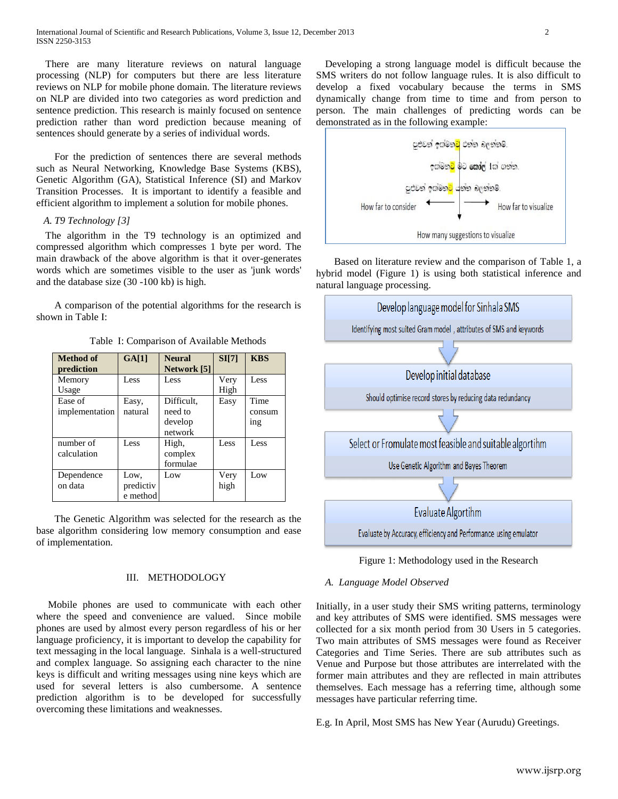There are many literature reviews on natural language processing (NLP) for computers but there are less literature reviews on NLP for mobile phone domain. The literature reviews on NLP are divided into two categories as word prediction and sentence prediction. This research is mainly focused on sentence prediction rather than word prediction because meaning of sentences should generate by a series of individual words.

For the prediction of sentences there are several methods such as Neural Networking, Knowledge Base Systems (KBS), Genetic Algorithm (GA), Statistical Inference (SI) and Markov Transition Processes. It is important to identify a feasible and efficient algorithm to implement a solution for mobile phones.

# *A. T9 Technology [3]*

The algorithm in the T9 technology is an optimized and compressed algorithm which compresses 1 byte per word. The main drawback of the above algorithm is that it over-generates words which are sometimes visible to the user as 'junk words' and the database size (30 -100 kb) is high.

A comparison of the potential algorithms for the research is shown in Table I:

Table I: Comparison of Available Methods

| <b>Method</b> of<br>prediction | GA[1]     | <b>Neural</b><br>Network [5] | SI[7] | <b>KBS</b> |
|--------------------------------|-----------|------------------------------|-------|------------|
| Memory                         | Less      | Less                         | Very  | Less       |
| Usage                          |           |                              | High  |            |
| Ease of                        | Easy,     | Difficult,                   | Easy  | Time       |
| implementation                 | natural   | need to                      |       | consum     |
|                                |           | develop                      |       | ing        |
|                                |           | network                      |       |            |
| number of                      | Less      | High,                        | Less  | Less       |
| calculation                    |           | complex                      |       |            |
|                                |           | formulae                     |       |            |
| Dependence                     | Low,      | Low                          | Very  | Low        |
| on data                        | predictiv |                              | high  |            |
|                                | e method  |                              |       |            |

The Genetic Algorithm was selected for the research as the base algorithm considering low memory consumption and ease of implementation.

# III. METHODOLOGY

Mobile phones are used to communicate with each other where the speed and convenience are valued. Since mobile phones are used by almost every person regardless of his or her language proficiency, it is important to develop the capability for text messaging in the local language. Sinhala is a well-structured and complex language. So assigning each character to the nine keys is difficult and writing messages using nine keys which are used for several letters is also cumbersome. A sentence prediction algorithm is to be developed for successfully overcoming these limitations and weaknesses.

Developing a strong language model is difficult because the SMS writers do not follow language rules. It is also difficult to develop a fixed vocabulary because the terms in SMS dynamically change from time to time and from person to person. The main challenges of predicting words can be demonstrated as in the following example:



Based on literature review and the comparison of Table 1, a hybrid model (Figure 1) is using both statistical inference and natural language processing.



Figure 1: Methodology used in the Research

## *A. Language Model Observed*

Initially, in a user study their SMS writing patterns, terminology and key attributes of SMS were identified. SMS messages were collected for a six month period from 30 Users in 5 categories. Two main attributes of SMS messages were found as Receiver Categories and Time Series. There are sub attributes such as Venue and Purpose but those attributes are interrelated with the former main attributes and they are reflected in main attributes themselves. Each message has a referring time, although some messages have particular referring time.

E.g. In April, Most SMS has New Year (Aurudu) Greetings.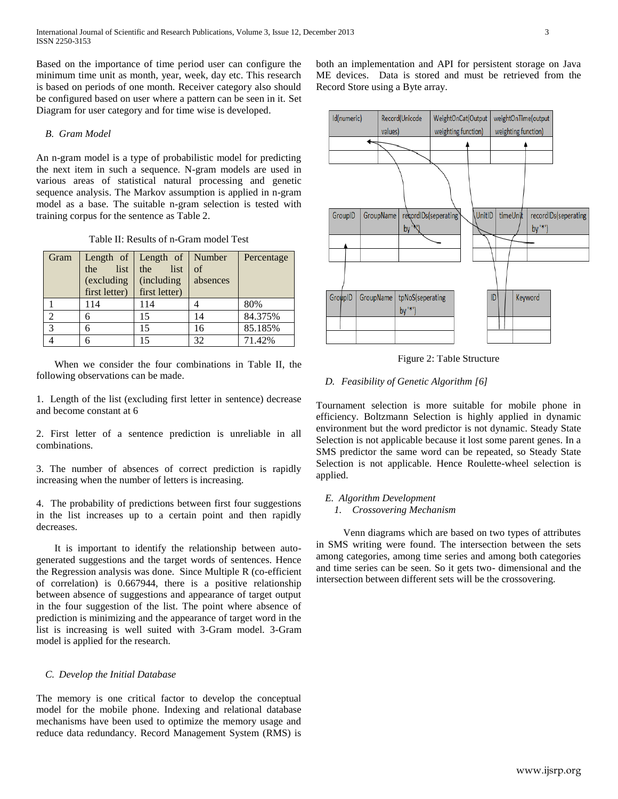Based on the importance of time period user can configure the minimum time unit as month, year, week, day etc. This research is based on periods of one month. Receiver category also should be configured based on user where a pattern can be seen in it. Set Diagram for user category and for time wise is developed.

# *B. Gram Model*

An n-gram model is a type of probabilistic model for predicting the next item in such a sequence. N-gram models are used in various areas of statistical natural processing and genetic sequence analysis. The Markov assumption is applied in n-gram model as a base. The suitable n-gram selection is tested with training corpus for the sentence as Table 2.

Table II: Results of n-Gram model Test

| Gram | list<br>the<br>(excluding | Length of   Length of   Number<br>list<br>the<br>(including) | of<br>absences | Percentage |
|------|---------------------------|--------------------------------------------------------------|----------------|------------|
|      | first letter)             | first letter)                                                |                |            |
|      | 114                       | 114                                                          |                | 80%        |
|      |                           | 15                                                           | 14             | 84.375%    |
| 3    |                           | 15                                                           | 16             | 85.185%    |
|      |                           | 15                                                           | 32             | 71.42%     |

When we consider the four combinations in Table II, the following observations can be made.

1. Length of the list (excluding first letter in sentence) decrease and become constant at 6

2. First letter of a sentence prediction is unreliable in all combinations.

3. The number of absences of correct prediction is rapidly increasing when the number of letters is increasing.

4. The probability of predictions between first four suggestions in the list increases up to a certain point and then rapidly decreases.

It is important to identify the relationship between autogenerated suggestions and the target words of sentences. Hence the Regression analysis was done. Since Multiple R (co-efficient of correlation) is 0.667944, there is a positive relationship between absence of suggestions and appearance of target output in the four suggestion of the list. The point where absence of prediction is minimizing and the appearance of target word in the list is increasing is well suited with 3-Gram model. 3-Gram model is applied for the research.

# *C. Develop the Initial Database*

The memory is one critical factor to develop the conceptual model for the mobile phone. Indexing and relational database mechanisms have been used to optimize the memory usage and reduce data redundancy. Record Management System (RMS) is both an implementation and API for persistent storage on Java ME devices. Data is stored and must be retrieved from the Record Store using a Byte array.



Figure 2: Table Structure

# *D. Feasibility of Genetic Algorithm [6]*

Tournament selection is more suitable for mobile phone in efficiency. Boltzmann Selection is highly applied in dynamic environment but the word predictor is not dynamic. Steady State Selection is not applicable because it lost some parent genes. In a SMS predictor the same word can be repeated, so Steady State Selection is not applicable. Hence Roulette-wheel selection is applied.

# *E. Algorithm Development 1. Crossovering Mechanism*

Venn diagrams which are based on two types of attributes in SMS writing were found. The intersection between the sets among categories, among time series and among both categories and time series can be seen. So it gets two- dimensional and the intersection between different sets will be the crossovering.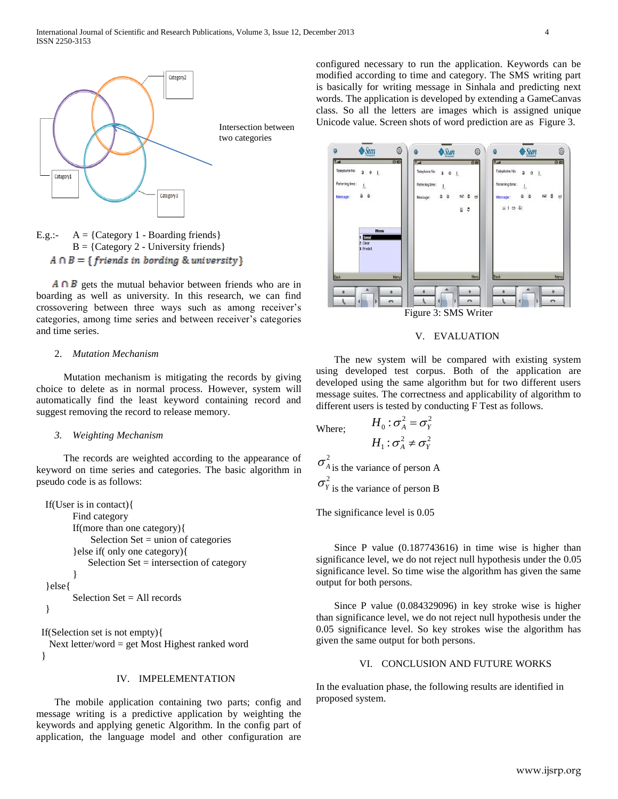



 $A \cap B$  gets the mutual behavior between friends who are in boarding as well as university. In this research, we can find crossovering between three ways such as among receiver's categories, among time series and between receiver's categories and time series.

## 2. *Mutation Mechanism*

Mutation mechanism is mitigating the records by giving choice to delete as in normal process. However, system will automatically find the least keyword containing record and suggest removing the record to release memory.

## *3. Weighting Mechanism*

The records are weighted according to the appearance of keyword on time series and categories. The basic algorithm in pseudo code is as follows:

```
If(User is in contact){
      Find category
      If(more than one category){
           Selection Set = union of categories}else if( only one category){
           Selection Set = intersection of category
       }
}else{
      Selection Set = All records}
```
If(Selection set is not empty){

 Next letter/word = get Most Highest ranked word }

#### IV. IMPELEMENTATION

The mobile application containing two parts; config and message writing is a predictive application by weighting the keywords and applying genetic Algorithm. In the config part of application, the language model and other configuration are

configured necessary to run the application. Keywords can be modified according to time and category. The SMS writing part is basically for writing message in Sinhala and predicting next words. The application is developed by extending a GameCanvas class. So all the letters are images which is assigned unique Unicode value. Screen shots of word prediction are as Figure 3.



## V. EVALUATION

The new system will be compared with existing system using developed test corpus. Both of the application are developed using the same algorithm but for two different users message suites. The correctness and applicability of algorithm to different users is tested by conducting F Test as follows.

 $2^2$ 

Where; 
$$
H_0: \sigma_A^2 = \sigma_Y^2
$$
  
\n $H_1: \sigma_A^2 \neq \sigma_Y^2$   
\n $\sigma_{A \text{ is the variance of person A}}^2$   
\n $\sigma_Y^2$   
\nis the variance of person B

*H*

The significance level is 0.05

Since P value (0.187743616) in time wise is higher than significance level, we do not reject null hypothesis under the 0.05 significance level. So time wise the algorithm has given the same output for both persons.

Since P value (0.084329096) in key stroke wise is higher than significance level, we do not reject null hypothesis under the 0.05 significance level. So key strokes wise the algorithm has given the same output for both persons.

# VI. CONCLUSION AND FUTURE WORKS

In the evaluation phase, the following results are identified in proposed system.